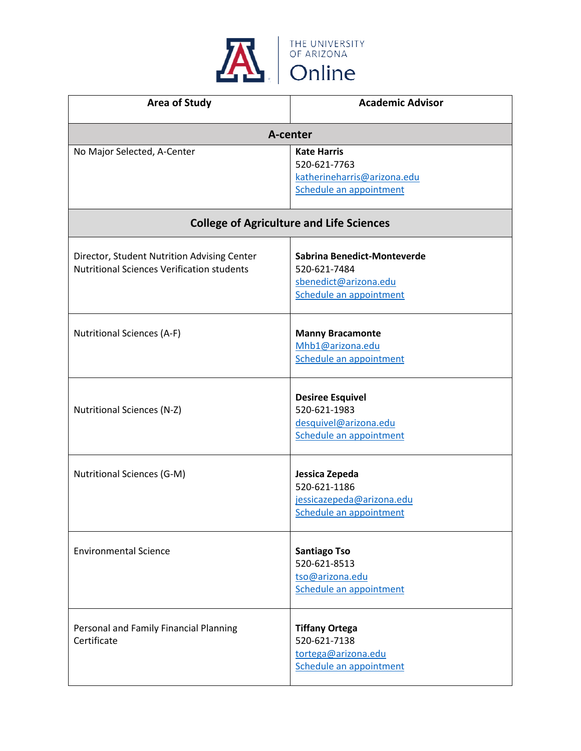

| <b>Area of Study</b>                                                                             | <b>Academic Advisor</b>                                                                         |
|--------------------------------------------------------------------------------------------------|-------------------------------------------------------------------------------------------------|
|                                                                                                  | A-center                                                                                        |
| No Major Selected, A-Center                                                                      | <b>Kate Harris</b><br>520-621-7763<br>katherineharris@arizona.edu<br>Schedule an appointment    |
| <b>College of Agriculture and Life Sciences</b>                                                  |                                                                                                 |
| Director, Student Nutrition Advising Center<br><b>Nutritional Sciences Verification students</b> | Sabrina Benedict-Monteverde<br>520-621-7484<br>sbenedict@arizona.edu<br>Schedule an appointment |
| <b>Nutritional Sciences (A-F)</b>                                                                | <b>Manny Bracamonte</b><br>Mhb1@arizona.edu<br>Schedule an appointment                          |
| <b>Nutritional Sciences (N-Z)</b>                                                                | <b>Desiree Esquivel</b><br>520-621-1983<br>desquivel@arizona.edu<br>Schedule an appointment     |
| <b>Nutritional Sciences (G-M)</b>                                                                | Jessica Zepeda<br>520-621-1186<br>jessicazepeda@arizona.edu<br>Schedule an appointment          |
| <b>Environmental Science</b>                                                                     | <b>Santiago Tso</b><br>520-621-8513<br>tso@arizona.edu<br>Schedule an appointment               |
| Personal and Family Financial Planning<br>Certificate                                            | <b>Tiffany Ortega</b><br>520-621-7138<br>tortega@arizona.edu<br>Schedule an appointment         |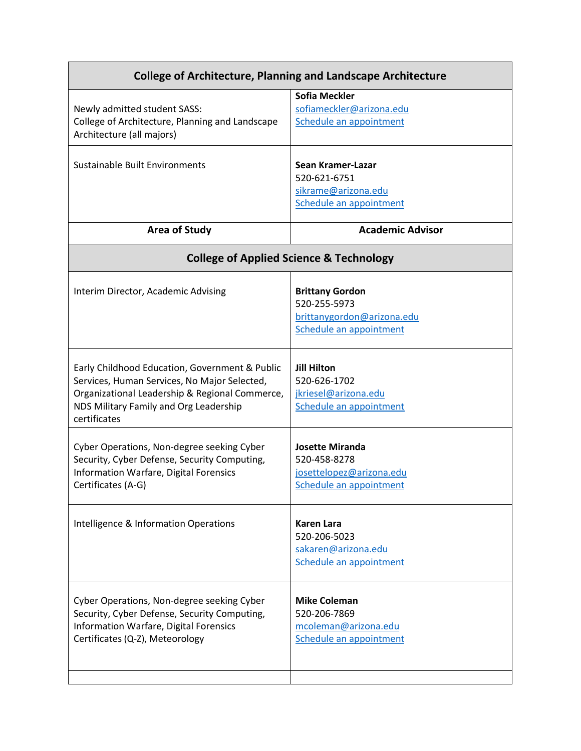| <b>College of Architecture, Planning and Landscape Architecture</b>                                                                                                                                        |                                                                                                 |
|------------------------------------------------------------------------------------------------------------------------------------------------------------------------------------------------------------|-------------------------------------------------------------------------------------------------|
| Newly admitted student SASS:<br>College of Architecture, Planning and Landscape<br>Architecture (all majors)                                                                                               | <b>Sofia Meckler</b><br>sofiameckler@arizona.edu<br>Schedule an appointment                     |
| Sustainable Built Environments                                                                                                                                                                             | Sean Kramer-Lazar<br>520-621-6751<br>sikrame@arizona.edu<br>Schedule an appointment             |
| <b>Area of Study</b>                                                                                                                                                                                       | <b>Academic Advisor</b>                                                                         |
| <b>College of Applied Science &amp; Technology</b>                                                                                                                                                         |                                                                                                 |
| Interim Director, Academic Advising                                                                                                                                                                        | <b>Brittany Gordon</b><br>520-255-5973<br>brittanygordon@arizona.edu<br>Schedule an appointment |
| Early Childhood Education, Government & Public<br>Services, Human Services, No Major Selected,<br>Organizational Leadership & Regional Commerce,<br>NDS Military Family and Org Leadership<br>certificates | <b>Jill Hilton</b><br>520-626-1702<br>jkriesel@arizona.edu<br>Schedule an appointment           |
| Cyber Operations, Non-degree seeking Cyber<br>Security, Cyber Defense, Security Computing,<br><b>Information Warfare, Digital Forensics</b><br>Certificates (A-G)                                          | <b>Josette Miranda</b><br>520-458-8278<br>josettelopez@arizona.edu<br>Schedule an appointment   |
| Intelligence & Information Operations                                                                                                                                                                      | <b>Karen Lara</b><br>520-206-5023<br>sakaren@arizona.edu<br>Schedule an appointment             |
| Cyber Operations, Non-degree seeking Cyber<br>Security, Cyber Defense, Security Computing,<br>Information Warfare, Digital Forensics<br>Certificates (Q-Z), Meteorology                                    | <b>Mike Coleman</b><br>520-206-7869<br>mcoleman@arizona.edu<br>Schedule an appointment          |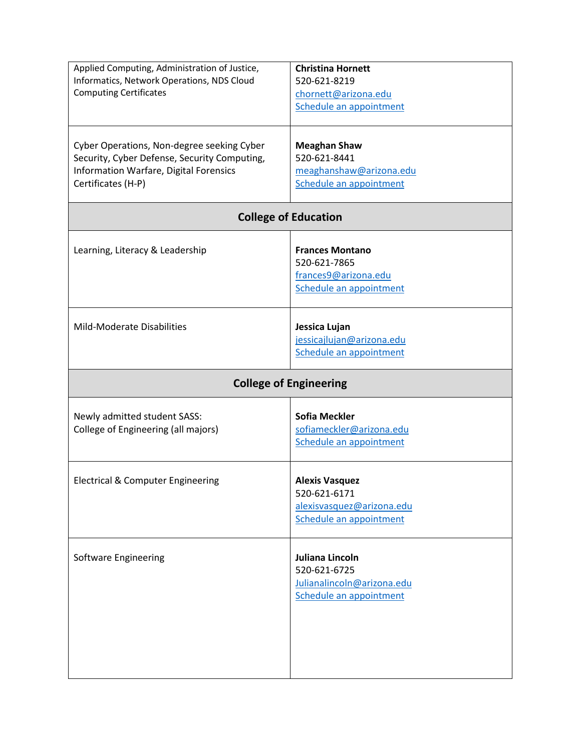| Applied Computing, Administration of Justice,<br>Informatics, Network Operations, NDS Cloud<br><b>Computing Certificates</b>                               | <b>Christina Hornett</b><br>520-621-8219<br>chornett@arizona.edu<br>Schedule an appointment   |
|------------------------------------------------------------------------------------------------------------------------------------------------------------|-----------------------------------------------------------------------------------------------|
| Cyber Operations, Non-degree seeking Cyber<br>Security, Cyber Defense, Security Computing,<br>Information Warfare, Digital Forensics<br>Certificates (H-P) | <b>Meaghan Shaw</b><br>520-621-8441<br>meaghanshaw@arizona.edu<br>Schedule an appointment     |
|                                                                                                                                                            | <b>College of Education</b>                                                                   |
| Learning, Literacy & Leadership                                                                                                                            | <b>Frances Montano</b><br>520-621-7865<br>frances9@arizona.edu<br>Schedule an appointment     |
| Mild-Moderate Disabilities                                                                                                                                 | Jessica Lujan<br>jessicajlujan@arizona.edu<br>Schedule an appointment                         |
| <b>College of Engineering</b>                                                                                                                              |                                                                                               |
| Newly admitted student SASS:<br>College of Engineering (all majors)                                                                                        | <b>Sofia Meckler</b><br>sofiameckler@arizona.edu<br>Schedule an appointment                   |
| Electrical & Computer Engineering                                                                                                                          | <b>Alexis Vasquez</b><br>520-621-6171<br>alexisvasquez@arizona.edu<br>Schedule an appointment |
| Software Engineering                                                                                                                                       | Juliana Lincoln<br>520-621-6725<br>Julianalincoln@arizona.edu<br>Schedule an appointment      |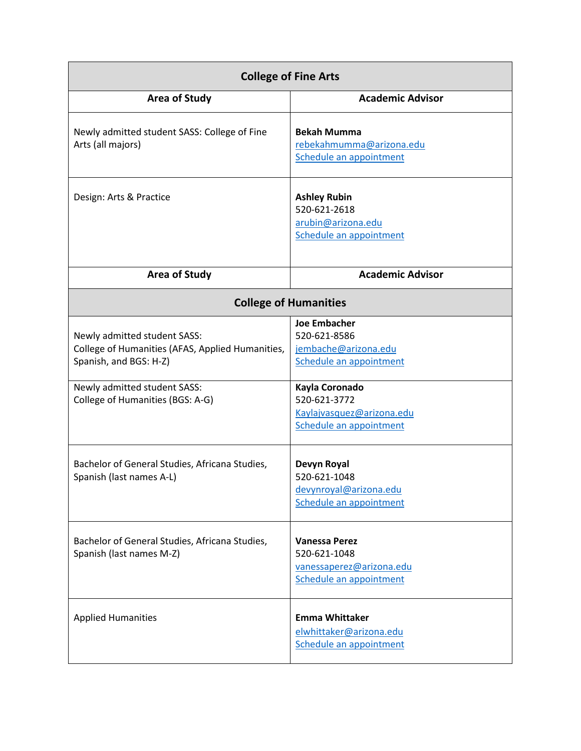| <b>College of Fine Arts</b>                                                                                                                                                                                                      |                                                                                                                                                                                                 |
|----------------------------------------------------------------------------------------------------------------------------------------------------------------------------------------------------------------------------------|-------------------------------------------------------------------------------------------------------------------------------------------------------------------------------------------------|
| <b>Area of Study</b>                                                                                                                                                                                                             | <b>Academic Advisor</b>                                                                                                                                                                         |
| Newly admitted student SASS: College of Fine<br>Arts (all majors)                                                                                                                                                                | <b>Bekah Mumma</b><br>rebekahmumma@arizona.edu<br>Schedule an appointment                                                                                                                       |
| Design: Arts & Practice                                                                                                                                                                                                          | <b>Ashley Rubin</b><br>520-621-2618<br>arubin@arizona.edu<br>Schedule an appointment                                                                                                            |
| <b>Area of Study</b>                                                                                                                                                                                                             | <b>Academic Advisor</b>                                                                                                                                                                         |
| <b>College of Humanities</b>                                                                                                                                                                                                     |                                                                                                                                                                                                 |
| Newly admitted student SASS:<br>College of Humanities (AFAS, Applied Humanities,<br>Spanish, and BGS: H-Z)<br>Newly admitted student SASS:<br>College of Humanities (BGS: A-G)<br>Bachelor of General Studies, Africana Studies, | <b>Joe Embacher</b><br>520-621-8586<br>jembache@arizona.edu<br>Schedule an appointment<br>Kayla Coronado<br>520-621-3772<br>Kaylajvasquez@arizona.edu<br>Schedule an appointment<br>Devyn Royal |
| Spanish (last names A-L)                                                                                                                                                                                                         | 520-621-1048<br>devynroyal@arizona.edu<br>Schedule an appointment                                                                                                                               |
| Bachelor of General Studies, Africana Studies,<br>Spanish (last names M-Z)                                                                                                                                                       | <b>Vanessa Perez</b><br>520-621-1048<br>vanessaperez@arizona.edu<br>Schedule an appointment                                                                                                     |
| <b>Applied Humanities</b>                                                                                                                                                                                                        | <b>Emma Whittaker</b><br>elwhittaker@arizona.edu<br>Schedule an appointment                                                                                                                     |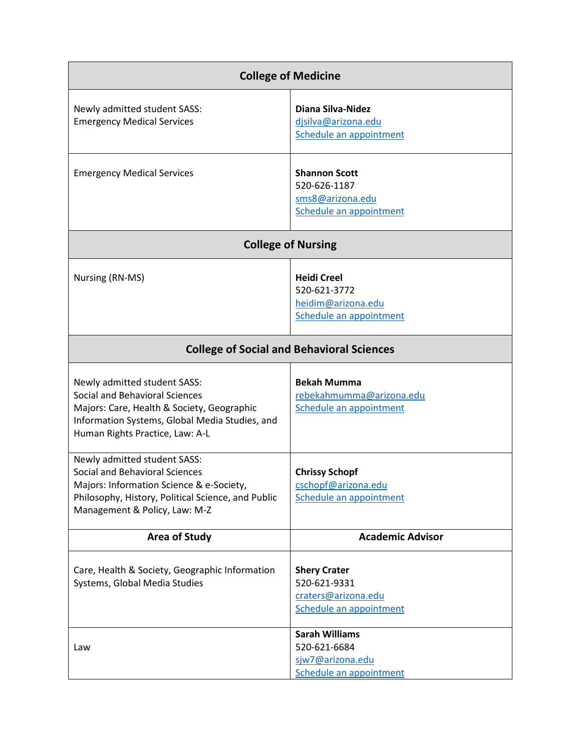| <b>College of Medicine</b>                                                                                                                                                                               |                                                                                       |
|----------------------------------------------------------------------------------------------------------------------------------------------------------------------------------------------------------|---------------------------------------------------------------------------------------|
| Newly admitted student SASS:<br><b>Emergency Medical Services</b>                                                                                                                                        | <b>Diana Silva-Nidez</b><br>disilva@arizona.edu<br>Schedule an appointment            |
| <b>Emergency Medical Services</b>                                                                                                                                                                        | <b>Shannon Scott</b><br>520-626-1187<br>sms8@arizona.edu<br>Schedule an appointment   |
| <b>College of Nursing</b>                                                                                                                                                                                |                                                                                       |
| Nursing (RN-MS)                                                                                                                                                                                          | <b>Heidi Creel</b><br>520-621-3772<br>heidim@arizona.edu<br>Schedule an appointment   |
| <b>College of Social and Behavioral Sciences</b>                                                                                                                                                         |                                                                                       |
| Newly admitted student SASS:<br><b>Social and Behavioral Sciences</b><br>Majors: Care, Health & Society, Geographic<br>Information Systems, Global Media Studies, and<br>Human Rights Practice, Law: A-L | <b>Bekah Mumma</b><br>rebekahmumma@arizona.edu<br>Schedule an appointment             |
| Newly admitted student SASS:<br>Social and Behavioral Sciences<br>Majors: Information Science & e-Society,<br>Philosophy, History, Political Science, and Public<br>Management & Policy, Law: M-Z        | <b>Chrissy Schopf</b><br>cschopf@arizona.edu<br>Schedule an appointment               |
| <b>Area of Study</b>                                                                                                                                                                                     | <b>Academic Advisor</b>                                                               |
| Care, Health & Society, Geographic Information<br>Systems, Global Media Studies                                                                                                                          | <b>Shery Crater</b><br>520-621-9331<br>craters@arizona.edu<br>Schedule an appointment |
| Law                                                                                                                                                                                                      | <b>Sarah Williams</b><br>520-621-6684<br>sjw7@arizona.edu<br>Schedule an appointment  |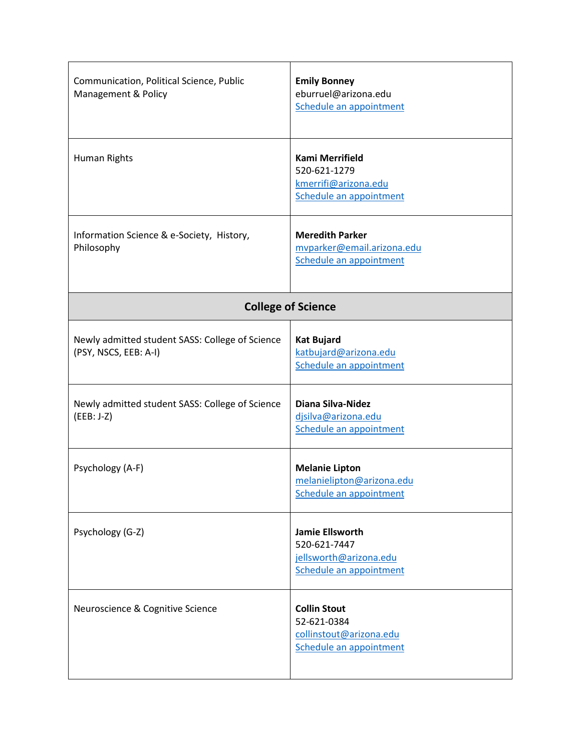| Communication, Political Science, Public<br>Management & Policy          | <b>Emily Bonney</b><br>eburruel@arizona.edu<br>Schedule an appointment                      |
|--------------------------------------------------------------------------|---------------------------------------------------------------------------------------------|
| Human Rights                                                             | Kami Merrifield<br>520-621-1279<br>kmerrifi@arizona.edu<br>Schedule an appointment          |
| Information Science & e-Society, History,<br>Philosophy                  | <b>Meredith Parker</b><br>mvparker@email.arizona.edu<br>Schedule an appointment             |
| <b>College of Science</b>                                                |                                                                                             |
| Newly admitted student SASS: College of Science<br>(PSY, NSCS, EEB: A-I) | <b>Kat Bujard</b><br>katbujard@arizona.edu<br>Schedule an appointment                       |
| Newly admitted student SASS: College of Science<br>$(EEB: J-Z)$          | Diana Silva-Nidez<br>djsilva@arizona.edu<br>Schedule an appointment                         |
| Psychology (A-F)                                                         | <b>Melanie Lipton</b><br>melanielipton@arizona.edu<br>Schedule an appointment               |
| Psychology (G-Z)                                                         | <b>Jamie Ellsworth</b><br>520-621-7447<br>jellsworth@arizona.edu<br>Schedule an appointment |
| Neuroscience & Cognitive Science                                         | <b>Collin Stout</b><br>52-621-0384<br>collinstout@arizona.edu<br>Schedule an appointment    |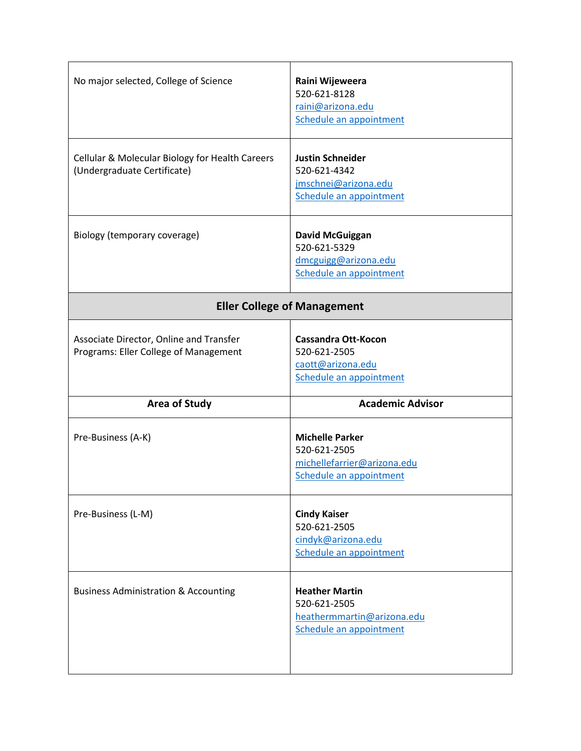| No major selected, College of Science                                            | Raini Wijeweera<br>520-621-8128<br>raini@arizona.edu<br>Schedule an appointment                  |
|----------------------------------------------------------------------------------|--------------------------------------------------------------------------------------------------|
| Cellular & Molecular Biology for Health Careers<br>(Undergraduate Certificate)   | <b>Justin Schneider</b><br>520-621-4342<br>jmschnei@arizona.edu<br>Schedule an appointment       |
| Biology (temporary coverage)                                                     | <b>David McGuiggan</b><br>520-621-5329<br>dmcguigg@arizona.edu<br>Schedule an appointment        |
| <b>Eller College of Management</b>                                               |                                                                                                  |
| Associate Director, Online and Transfer<br>Programs: Eller College of Management | <b>Cassandra Ott-Kocon</b><br>520-621-2505<br>caott@arizona.edu<br>Schedule an appointment       |
| <b>Area of Study</b>                                                             | <b>Academic Advisor</b>                                                                          |
| Pre-Business (A-K)                                                               | <b>Michelle Parker</b><br>520-621-2505<br>michellefarrier@arizona.edu<br>Schedule an appointment |
| Pre-Business (L-M)                                                               | <b>Cindy Kaiser</b><br>520-621-2505<br>cindyk@arizona.edu<br>Schedule an appointment             |
| <b>Business Administration &amp; Accounting</b>                                  | <b>Heather Martin</b><br>520-621-2505<br>heathermmartin@arizona.edu<br>Schedule an appointment   |